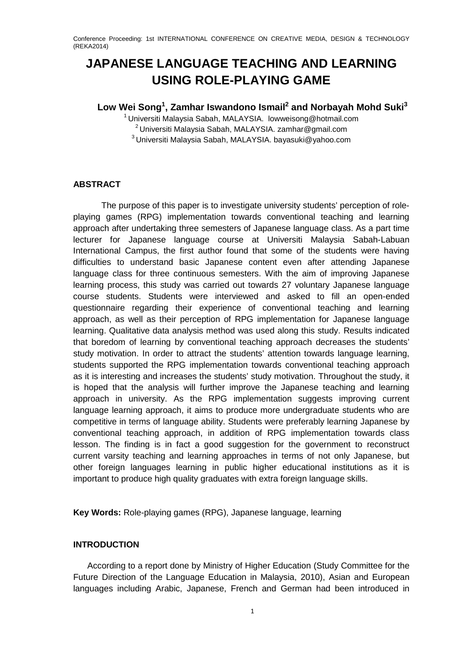# **JAPANESE LANGUAGE TEACHING AND LEARNING USING ROLE-PLAYING GAME**

## **Low Wei Song1 , Zamhar Iswandono Ismail2 and Norbayah Mohd Suki<sup>3</sup>**

1 Universiti Malaysia Sabah, MALAYSIA. lowweisong@hotmail.com  $2$  Universiti Malaysia Sabah, MALAYSIA. zamhar@gmail.com

3 Universiti Malaysia Sabah, MALAYSIA. bayasuki@yahoo.com

## **ABSTRACT**

The purpose of this paper is to investigate university students' perception of roleplaying games (RPG) implementation towards conventional teaching and learning approach after undertaking three semesters of Japanese language class. As a part time lecturer for Japanese language course at Universiti Malaysia Sabah-Labuan International Campus, the first author found that some of the students were having difficulties to understand basic Japanese content even after attending Japanese language class for three continuous semesters. With the aim of improving Japanese learning process, this study was carried out towards 27 voluntary Japanese language course students. Students were interviewed and asked to fill an open-ended questionnaire regarding their experience of conventional teaching and learning approach, as well as their perception of RPG implementation for Japanese language learning. Qualitative data analysis method was used along this study. Results indicated that boredom of learning by conventional teaching approach decreases the students' study motivation. In order to attract the students' attention towards language learning, students supported the RPG implementation towards conventional teaching approach as it is interesting and increases the students' study motivation. Throughout the study, it is hoped that the analysis will further improve the Japanese teaching and learning approach in university. As the RPG implementation suggests improving current language learning approach, it aims to produce more undergraduate students who are competitive in terms of language ability. Students were preferably learning Japanese by conventional teaching approach, in addition of RPG implementation towards class lesson. The finding is in fact a good suggestion for the government to reconstruct current varsity teaching and learning approaches in terms of not only Japanese, but other foreign languages learning in public higher educational institutions as it is important to produce high quality graduates with extra foreign language skills.

**Key Words:** Role-playing games (RPG), Japanese language, learning

## **INTRODUCTION**

According to a report done by Ministry of Higher Education (Study Committee for the Future Direction of the Language Education in Malaysia, 2010), Asian and European languages including Arabic, Japanese, French and German had been introduced in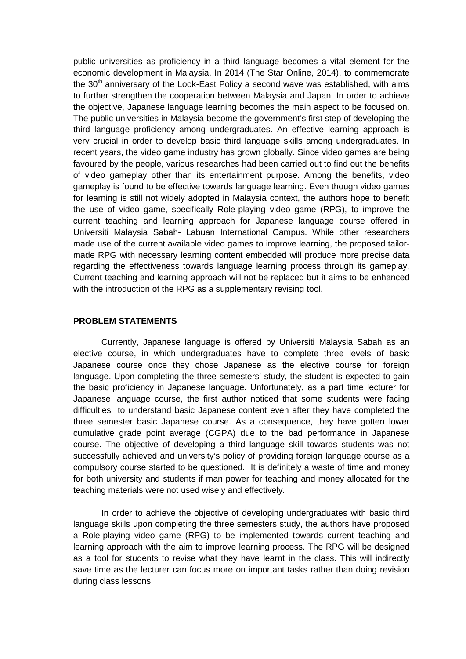public universities as proficiency in a third language becomes a vital element for the economic development in Malaysia. In 2014 (The Star Online, 2014), to commemorate the  $30<sup>th</sup>$  anniversary of the Look-East Policy a second wave was established, with aims to further strengthen the cooperation between Malaysia and Japan. In order to achieve the objective, Japanese language learning becomes the main aspect to be focused on. The public universities in Malaysia become the government's first step of developing the third language proficiency among undergraduates. An effective learning approach is very crucial in order to develop basic third language skills among undergraduates. In recent years, the video game industry has grown globally. Since video games are being favoured by the people, various researches had been carried out to find out the benefits of video gameplay other than its entertainment purpose. Among the benefits, video gameplay is found to be effective towards language learning. Even though video games for learning is still not widely adopted in Malaysia context, the authors hope to benefit the use of video game, specifically Role-playing video game (RPG), to improve the current teaching and learning approach for Japanese language course offered in Universiti Malaysia Sabah- Labuan International Campus. While other researchers made use of the current available video games to improve learning, the proposed tailormade RPG with necessary learning content embedded will produce more precise data regarding the effectiveness towards language learning process through its gameplay. Current teaching and learning approach will not be replaced but it aims to be enhanced with the introduction of the RPG as a supplementary revising tool.

#### **PROBLEM STATEMENTS**

Currently, Japanese language is offered by Universiti Malaysia Sabah as an elective course, in which undergraduates have to complete three levels of basic Japanese course once they chose Japanese as the elective course for foreign language. Upon completing the three semesters' study, the student is expected to gain the basic proficiency in Japanese language. Unfortunately, as a part time lecturer for Japanese language course, the first author noticed that some students were facing difficulties to understand basic Japanese content even after they have completed the three semester basic Japanese course. As a consequence, they have gotten lower cumulative grade point average (CGPA) due to the bad performance in Japanese course. The objective of developing a third language skill towards students was not successfully achieved and university's policy of providing foreign language course as a compulsory course started to be questioned. It is definitely a waste of time and money for both university and students if man power for teaching and money allocated for the teaching materials were not used wisely and effectively.

In order to achieve the objective of developing undergraduates with basic third language skills upon completing the three semesters study, the authors have proposed a Role-playing video game (RPG) to be implemented towards current teaching and learning approach with the aim to improve learning process. The RPG will be designed as a tool for students to revise what they have learnt in the class. This will indirectly save time as the lecturer can focus more on important tasks rather than doing revision during class lessons.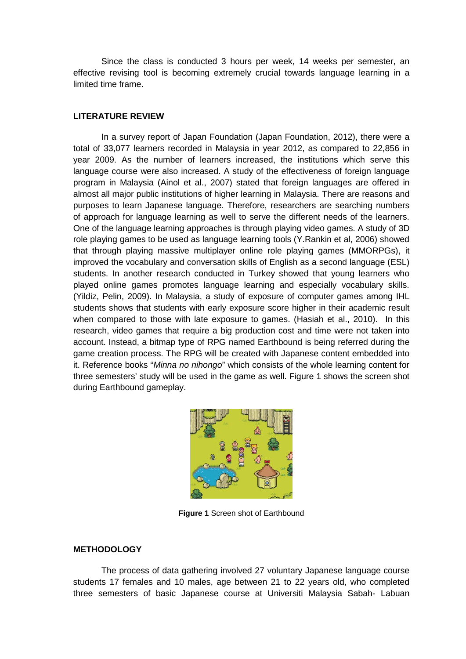Since the class is conducted 3 hours per week, 14 weeks per semester, an effective revising tool is becoming extremely crucial towards language learning in a limited time frame.

### **LITERATURE REVIEW**

In a survey report of Japan Foundation (Japan Foundation, 2012), there were a total of 33,077 learners recorded in Malaysia in year 2012, as compared to 22,856 in year 2009. As the number of learners increased, the institutions which serve this language course were also increased. A study of the effectiveness of foreign language program in Malaysia (Ainol et al., 2007) stated that foreign languages are offered in almost all major public institutions of higher learning in Malaysia. There are reasons and purposes to learn Japanese language. Therefore, researchers are searching numbers of approach for language learning as well to serve the different needs of the learners. One of the language learning approaches is through playing video games. A study of 3D role playing games to be used as language learning tools (Y.Rankin et al, 2006) showed that through playing massive multiplayer online role playing games (MMORPGs), it improved the vocabulary and conversation skills of English as a second language (ESL) students. In another research conducted in Turkey showed that young learners who played online games promotes language learning and especially vocabulary skills. (Yildiz, Pelin, 2009). In Malaysia, a study of exposure of computer games among IHL students shows that students with early exposure score higher in their academic result when compared to those with late exposure to games. (Hasiah et al., 2010). In this research, video games that require a big production cost and time were not taken into account. Instead, a bitmap type of RPG named Earthbound is being referred during the game creation process. The RPG will be created with Japanese content embedded into it. Reference books "*Minna no nihongo*" which consists of the whole learning content for three semesters' study will be used in the game as well. Figure 1 shows the screen shot during Earthbound gameplay.



**Figure 1** Screen shot of Earthbound

#### **METHODOLOGY**

The process of data gathering involved 27 voluntary Japanese language course students 17 females and 10 males, age between 21 to 22 years old, who completed three semesters of basic Japanese course at Universiti Malaysia Sabah- Labuan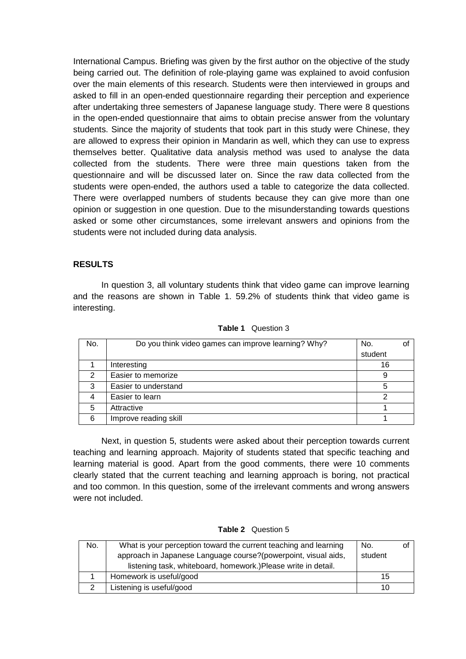International Campus. Briefing was given by the first author on the objective of the study being carried out. The definition of role-playing game was explained to avoid confusion over the main elements of this research. Students were then interviewed in groups and asked to fill in an open-ended questionnaire regarding their perception and experience after undertaking three semesters of Japanese language study. There were 8 questions in the open-ended questionnaire that aims to obtain precise answer from the voluntary students. Since the majority of students that took part in this study were Chinese, they are allowed to express their opinion in Mandarin as well, which they can use to express themselves better. Qualitative data analysis method was used to analyse the data collected from the students. There were three main questions taken from the questionnaire and will be discussed later on. Since the raw data collected from the students were open-ended, the authors used a table to categorize the data collected. There were overlapped numbers of students because they can give more than one opinion or suggestion in one question. Due to the misunderstanding towards questions asked or some other circumstances, some irrelevant answers and opinions from the students were not included during data analysis.

### **RESULTS**

In question 3, all voluntary students think that video game can improve learning and the reasons are shown in Table 1. 59.2% of students think that video game is interesting.

| No. | Do you think video games can improve learning? Why? | No.     | οt |
|-----|-----------------------------------------------------|---------|----|
|     |                                                     | student |    |
|     | Interesting                                         | 16      |    |
| 2   | Easier to memorize                                  | 9       |    |
| 3   | Easier to understand                                | 5       |    |
| 4   | Easier to learn                                     |         |    |
| 5   | Attractive                                          |         |    |
| 6   | Improve reading skill                               |         |    |

**Table 1** Question 3

Next, in question 5, students were asked about their perception towards current teaching and learning approach. Majority of students stated that specific teaching and learning material is good. Apart from the good comments, there were 10 comments clearly stated that the current teaching and learning approach is boring, not practical and too common. In this question, some of the irrelevant comments and wrong answers were not included.

| <b>Table 2</b> Question 5 |  |  |
|---------------------------|--|--|
|---------------------------|--|--|

| No. | What is your perception toward the current teaching and learning | No.     |  |
|-----|------------------------------------------------------------------|---------|--|
|     | approach in Japanese Language course?(powerpoint, visual aids,   | student |  |
|     | listening task, whiteboard, homework.)Please write in detail.    |         |  |
|     | Homework is useful/good                                          | 15      |  |
|     | Listening is useful/good                                         | 10      |  |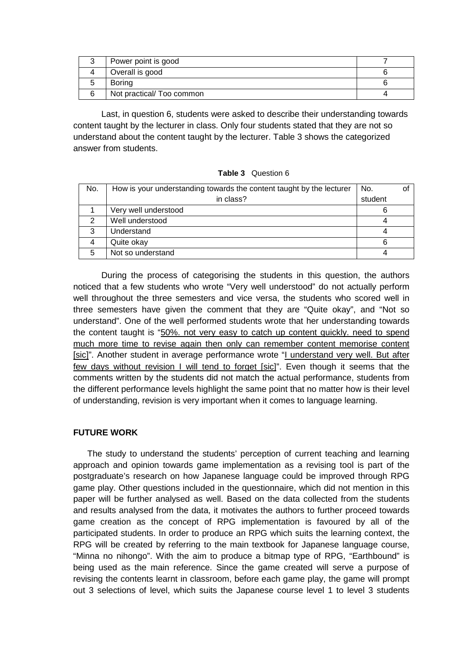| Power point is good       |  |
|---------------------------|--|
| Overall is good           |  |
| Boring                    |  |
| Not practical/ Too common |  |

Last, in question 6, students were asked to describe their understanding towards content taught by the lecturer in class. Only four students stated that they are not so understand about the content taught by the lecturer. Table 3 shows the categorized answer from students.

| <b>Table 3</b> Question 6 |  |
|---------------------------|--|
|---------------------------|--|

| No. | How is your understanding towards the content taught by the lecturer | No.     |  |
|-----|----------------------------------------------------------------------|---------|--|
|     | in class?                                                            | student |  |
|     | Very well understood                                                 |         |  |
| ົ   | Well understood                                                      |         |  |
| 3   | Understand                                                           |         |  |
|     | Quite okay                                                           |         |  |
|     | Not so understand                                                    |         |  |

During the process of categorising the students in this question, the authors noticed that a few students who wrote "Very well understood" do not actually perform well throughout the three semesters and vice versa, the students who scored well in three semesters have given the comment that they are "Quite okay", and "Not so understand". One of the well performed students wrote that her understanding towards the content taught is "50%. not very easy to catch up content quickly. need to spend much more time to revise again then only can remember content memorise content [sic]". Another student in average performance wrote "I understand very well. But after few days without revision I will tend to forget [sic]". Even though it seems that the comments written by the students did not match the actual performance, students from the different performance levels highlight the same point that no matter how is their level of understanding, revision is very important when it comes to language learning.

## **FUTURE WORK**

The study to understand the students' perception of current teaching and learning approach and opinion towards game implementation as a revising tool is part of the postgraduate's research on how Japanese language could be improved through RPG game play. Other questions included in the questionnaire, which did not mention in this paper will be further analysed as well. Based on the data collected from the students and results analysed from the data, it motivates the authors to further proceed towards game creation as the concept of RPG implementation is favoured by all of the participated students. In order to produce an RPG which suits the learning context, the RPG will be created by referring to the main textbook for Japanese language course, "Minna no nihongo". With the aim to produce a bitmap type of RPG, "Earthbound" is being used as the main reference. Since the game created will serve a purpose of revising the contents learnt in classroom, before each game play, the game will prompt out 3 selections of level, which suits the Japanese course level 1 to level 3 students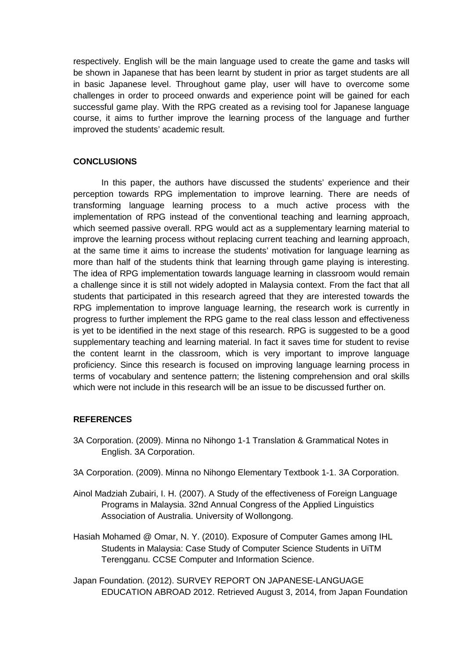respectively. English will be the main language used to create the game and tasks will be shown in Japanese that has been learnt by student in prior as target students are all in basic Japanese level. Throughout game play, user will have to overcome some challenges in order to proceed onwards and experience point will be gained for each successful game play. With the RPG created as a revising tool for Japanese language course, it aims to further improve the learning process of the language and further improved the students' academic result.

## **CONCLUSIONS**

In this paper, the authors have discussed the students' experience and their perception towards RPG implementation to improve learning. There are needs of transforming language learning process to a much active process with the implementation of RPG instead of the conventional teaching and learning approach, which seemed passive overall. RPG would act as a supplementary learning material to improve the learning process without replacing current teaching and learning approach, at the same time it aims to increase the students' motivation for language learning as more than half of the students think that learning through game playing is interesting. The idea of RPG implementation towards language learning in classroom would remain a challenge since it is still not widely adopted in Malaysia context. From the fact that all students that participated in this research agreed that they are interested towards the RPG implementation to improve language learning, the research work is currently in progress to further implement the RPG game to the real class lesson and effectiveness is yet to be identified in the next stage of this research. RPG is suggested to be a good supplementary teaching and learning material. In fact it saves time for student to revise the content learnt in the classroom, which is very important to improve language proficiency. Since this research is focused on improving language learning process in terms of vocabulary and sentence pattern; the listening comprehension and oral skills which were not include in this research will be an issue to be discussed further on.

## **REFERENCES**

- 3A Corporation. (2009). Minna no Nihongo 1-1 Translation & Grammatical Notes in English. 3A Corporation.
- 3A Corporation. (2009). Minna no Nihongo Elementary Textbook 1-1. 3A Corporation.
- Ainol Madziah Zubairi, I. H. (2007). A Study of the effectiveness of Foreign Language Programs in Malaysia. 32nd Annual Congress of the Applied Linguistics Association of Australia. University of Wollongong.
- Hasiah Mohamed @ Omar, N. Y. (2010). Exposure of Computer Games among IHL Students in Malaysia: Case Study of Computer Science Students in UiTM Terengganu. CCSE Computer and Information Science.
- Japan Foundation. (2012). SURVEY REPORT ON JAPANESE-LANGUAGE EDUCATION ABROAD 2012. Retrieved August 3, 2014, from Japan Foundation